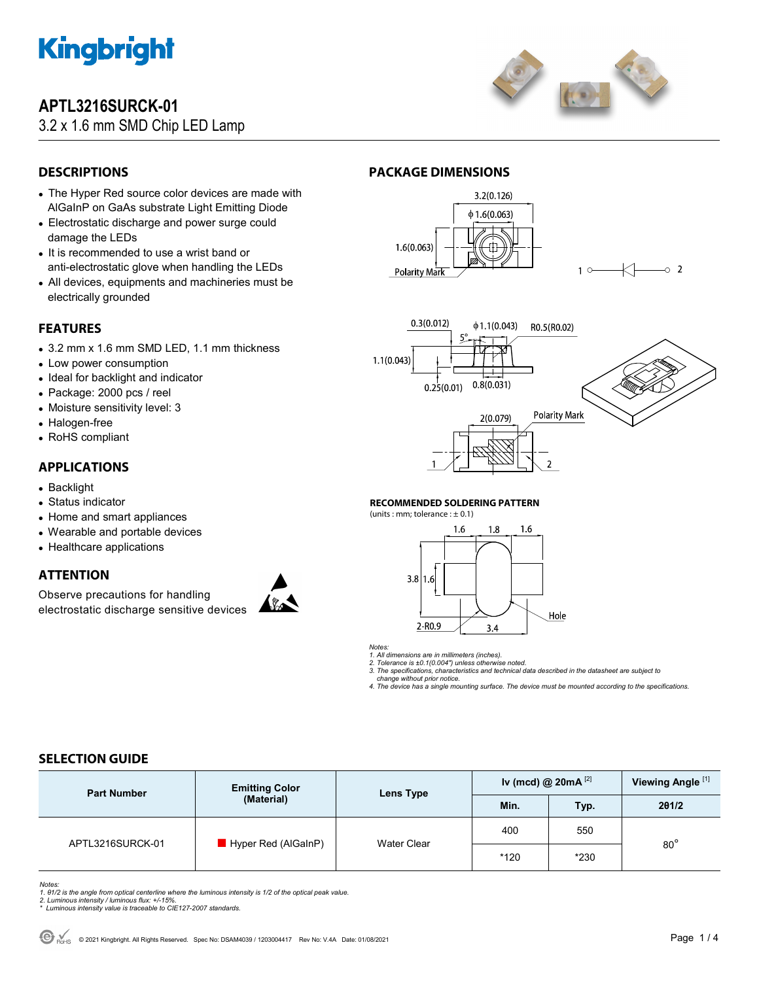

## **APTL3216SURCK-01**

## 3.2 x 1.6 mm SMD Chip LED Lamp



## **DESCRIPTIONS**

- The Hyper Red source color devices are made with AlGaInP on GaAs substrate Light Emitting Diode
- Electrostatic discharge and power surge could damage the LEDs
- It is recommended to use a wrist band or anti-electrostatic glove when handling the LEDs
- All devices, equipments and machineries must be electrically grounded

## **FEATURES**

- 3.2 mm x 1.6 mm SMD LED, 1.1 mm thickness
- Low power consumption
- Ideal for backlight and indicator
- Package: 2000 pcs / reel
- Moisture sensitivity level: 3
- Halogen-free
- RoHS compliant

### **APPLICATIONS**

- Backlight
- Status indicator
- Home and smart appliances
- Wearable and portable devices
- Healthcare applications

### **ATTENTION**

Observe precautions for handling electrostatic discharge sensitive devices



## **PACKAGE DIMENSIONS**





#### **RECOMMENDED SOLDERING PATTERN**

(units : mm; tolerance :  $\pm$  0.1)



*Notes:* 

*1. All dimensions are in millimeters (inches). 2. Tolerance is ±0.1(0.004") unless otherwise noted.* 

*3. The specifications, characteristics and technical data described in the datasheet are subject to* 

 *change without prior notice. 4. The device has a single mounting surface. The device must be mounted according to the specifications.* 

## **SELECTION GUIDE**

| <b>Part Number</b> | <b>Emitting Color</b><br>(Material) | Lens Type          | Iv (mcd) @ $20mA$ <sup>[2]</sup> |            | Viewing Angle <sup>[1]</sup> |  |
|--------------------|-------------------------------------|--------------------|----------------------------------|------------|------------------------------|--|
|                    |                                     |                    | Min.                             | <b>Typ</b> | 201/2                        |  |
| APTL3216SURCK-01   | Hyper Red (AlGaInP)                 | <b>Water Clear</b> | 400                              | 550        | $80^{\circ}$                 |  |
|                    |                                     |                    | $*120$                           | $*230$     |                              |  |

Notes:<br>1. 61/2 is the angle from optical centerline where the luminous intensity is 1/2 of the optical peak value.<br>2. Luminous intensity / luminous flux: +/-15%.<br>\* Luminous intensity value is traceable to CIE127-2007 stand

- 
-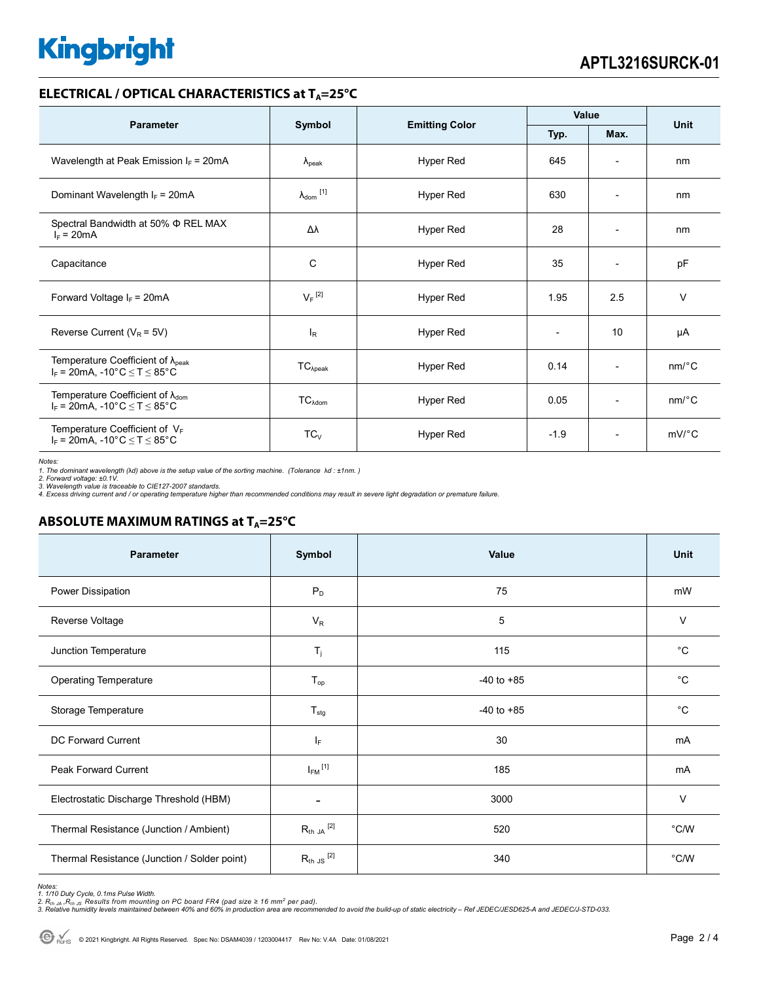# **Kingbright**

#### **ELECTRICAL / OPTICAL CHARACTERISTICS at T<sub>A</sub>=25°C**

| <b>Parameter</b>                                                                                               | Symbol                     |                       | Value  |                          | <b>Unit</b> |
|----------------------------------------------------------------------------------------------------------------|----------------------------|-----------------------|--------|--------------------------|-------------|
|                                                                                                                |                            | <b>Emitting Color</b> | Typ.   | Max.                     |             |
| Wavelength at Peak Emission $I_F$ = 20mA                                                                       | $\lambda_{\rm peak}$       | Hyper Red             | 645    | $\overline{\phantom{a}}$ | nm          |
| Dominant Wavelength $I_F$ = 20mA                                                                               | $\lambda_{\text{dom}}$ [1] | Hyper Red             | 630    | $\overline{\phantom{a}}$ | nm          |
| Spectral Bandwidth at 50% $\Phi$ REL MAX<br>$I_F = 20mA$                                                       | Δλ                         | Hyper Red             | 28     | $\overline{a}$           | nm          |
| Capacitance                                                                                                    | C                          | Hyper Red             | 35     |                          | pF          |
| Forward Voltage $I_F$ = 20mA                                                                                   | $V_F$ <sup>[2]</sup>       | Hyper Red             | 1.95   | 2.5                      | $\vee$      |
| Reverse Current ( $V_R$ = 5V)                                                                                  | <sub>lR</sub>              | Hyper Red             |        | 10                       | μA          |
| Temperature Coefficient of $\lambda_{peak}$<br>$I_F = 20$ mA, -10°C $\le T \le 85$ °C                          | $TC_{\lambda peak}$        | Hyper Red             | 0.14   | $\overline{\phantom{a}}$ | nm/°C       |
| Temperature Coefficient of $\lambda_{\text{dom}}$<br>$I_F = 20$ mA, -10°C $\le T \le 85$ °C                    | $TC_{\lambda dom}$         | Hyper Red             | 0.05   | $\overline{\phantom{a}}$ | nm/°C       |
| Temperature Coefficient of $V_F$<br>$I_F = 20 \text{mA}, -10^{\circ} \text{C} \leq T \leq 85^{\circ} \text{C}$ | $TC_V$                     | Hyper Red             | $-1.9$ | $\overline{\phantom{a}}$ | $mV$ °C     |

*Notes:* 

1. The dominant wavelength (λd) above is the setup value of the sorting machine. (Tolerance λd : ±1nm. )<br>2. Forward voltage: ±0.1V.<br>3. Wavelength value is traceable to CIE127-2007 standards.<br>4. Excess driving current and

## **ABSOLUTE MAXIMUM RATINGS at T<sub>A</sub>=25°C**

| <b>Parameter</b>                             | Symbol                   | Value          | Unit           |
|----------------------------------------------|--------------------------|----------------|----------------|
| Power Dissipation                            | $P_D$                    | 75             | mW             |
| Reverse Voltage                              | $V_R$                    | 5              | V              |
| Junction Temperature                         | $\mathsf{T}_j$           | 115            | $^{\circ}C$    |
| <b>Operating Temperature</b>                 | $T_{op}$                 | $-40$ to $+85$ | $^{\circ}C$    |
| Storage Temperature                          | $T_{\text{stg}}$         | $-40$ to $+85$ | $^{\circ}C$    |
| DC Forward Current                           | ΙF                       | 30             | mA             |
| Peak Forward Current                         | $I_{FM}$ <sup>[1]</sup>  | 185            | mA             |
| Electrostatic Discharge Threshold (HBM)      | $\overline{\phantom{0}}$ | 3000           | $\vee$         |
| Thermal Resistance (Junction / Ambient)      | $R_{th}$ ja $^{[2]}$     | 520            | $^{\circ}$ C/W |
| Thermal Resistance (Junction / Solder point) | $R_{th}$ JS $^{[2]}$     | 340            | $^{\circ}$ C/W |

Notes:<br>1. 1/10 Duty Cycle, 0.1ms Pulse Width.<br>2. R<sub>th JA</sub> ,R<sub>th JS</sub> Results from mounting on PC board FR4 (pad size ≥ 16 mm<sup>2</sup> per pad).<br>3. Relative humidity levels maintained between 40% and 60% in production area are re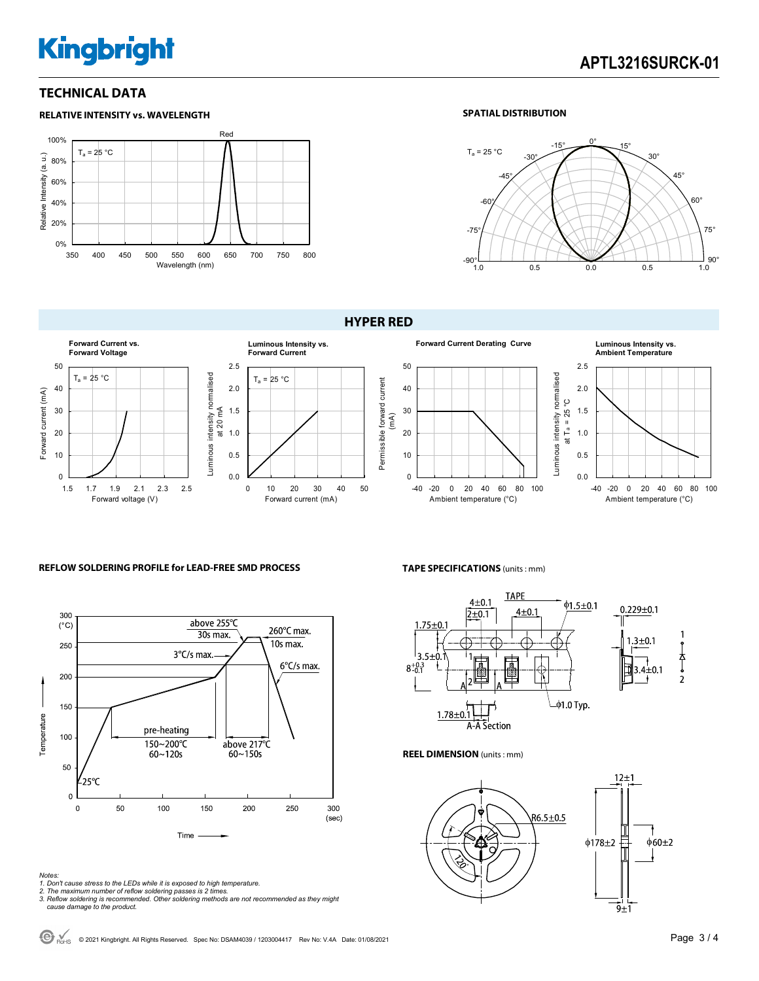# **Kingbright**

### **TECHNICAL DATA**



#### **SPATIAL DISTRIBUTION**



0.0 0.5 1.0 1.5 2.0 2.5

Luminous intensity normalised Luminous intensity normalised<br>at  $T_a = 25 °C$ 

> -40 -20 0 20 40 60 80 100 Ambient temperature (°C)

**Ambient Temperature**

#### **HYPER RED**



### **REFLOW SOLDERING PROFILE for LEAD-FREE SMD PROCESS**



#### *Notes:*

- *1. Don't cause stress to the LEDs while it is exposed to high temperature.*
- 

*2. The maximum number of reflow soldering passes is 2 times. 3. Reflow soldering is recommended. Other soldering methods are not recommended as they might cause damage to the product.* 

#### **TAPE SPECIFICATIONS** (units : mm)



#### **REEL DIMENSION** (units : mm)